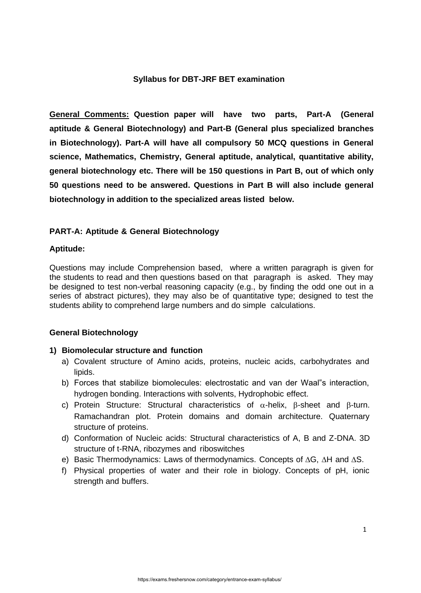## **Syllabus for DBT-JRF BET examination**

**General Comments: Question paper will have two parts, Part-A (General aptitude & General Biotechnology) and Part-B (General plus specialized branches in Biotechnology). Part-A will have all compulsory 50 MCQ questions in General science, Mathematics, Chemistry, General aptitude, analytical, quantitative ability, general biotechnology etc. There will be 150 questions in Part B, out of which only 50 questions need to be answered. Questions in Part B will also include general biotechnology in addition to the specialized areas listed below.**

# **PART-A: Aptitude & General Biotechnology**

### **Aptitude:**

Questions may include Comprehension based, where a written paragraph is given for the students to read and then questions based on that paragraph is asked. They may be designed to test non-verbal reasoning capacity (e.g., by finding the odd one out in a series of abstract pictures), they may also be of quantitative type; designed to test the students ability to comprehend large numbers and do simple calculations.

### **General Biotechnology**

### **1) Biomolecular structure and function**

- a) Covalent structure of Amino acids, proteins, nucleic acids, carbohydrates and lipids.
- b) Forces that stabilize biomolecules: electrostatic and van der Waal"s interaction, hydrogen bonding. Interactions with solvents, Hydrophobic effect.
- c) Protein Structure: Structural characteristics of  $\alpha$ -helix,  $\beta$ -sheet and  $\beta$ -turn. Ramachandran plot. Protein domains and domain architecture. Quaternary structure of proteins.
- d) Conformation of Nucleic acids: Structural characteristics of A, B and Z-DNA. 3D structure of t-RNA, ribozymes and riboswitches
- e) Basic Thermodynamics: Laws of thermodynamics. Concepts of ∆G, ∆H and ∆S.
- f) Physical properties of water and their role in biology. Concepts of pH, ionic strength and buffers.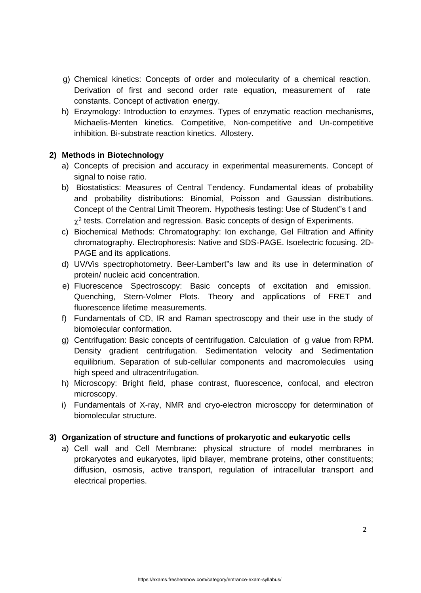- g) Chemical kinetics: Concepts of order and molecularity of a chemical reaction. Derivation of first and second order rate equation, measurement of rate constants. Concept of activation energy.
- h) Enzymology: Introduction to enzymes. Types of enzymatic reaction mechanisms, Michaelis-Menten kinetics. Competitive, Non-competitive and Un-competitive inhibition. Bi-substrate reaction kinetics. Allostery.

# **2) Methods in Biotechnology**

- a) Concepts of precision and accuracy in experimental measurements. Concept of signal to noise ratio.
- b) Biostatistics: Measures of Central Tendency. Fundamental ideas of probability and probability distributions: Binomial, Poisson and Gaussian distributions. Concept of the Central Limit Theorem. Hypothesis testing: Use of Student"s t and  $\chi^2$  tests. Correlation and regression. Basic concepts of design of Experiments.
- c) Biochemical Methods: Chromatography: Ion exchange, Gel Filtration and Affinity chromatography. Electrophoresis: Native and SDS-PAGE. Isoelectric focusing. 2D-PAGE and its applications.
- d) UV/Vis spectrophotometry. Beer-Lambert"s law and its use in determination of protein/ nucleic acid concentration.
- e) Fluorescence Spectroscopy: Basic concepts of excitation and emission. Quenching, Stern-Volmer Plots. Theory and applications of FRET and fluorescence lifetime measurements.
- f) Fundamentals of CD, IR and Raman spectroscopy and their use in the study of biomolecular conformation.
- g) Centrifugation: Basic concepts of centrifugation. Calculation of g value from RPM. Density gradient centrifugation. Sedimentation velocity and Sedimentation equilibrium. Separation of sub-cellular components and macromolecules using high speed and ultracentrifugation.
- h) Microscopy: Bright field, phase contrast, fluorescence, confocal, and electron microscopy.
- i) Fundamentals of X-ray, NMR and cryo-electron microscopy for determination of biomolecular structure.

# **3) Organization of structure and functions of prokaryotic and eukaryotic cells**

a) Cell wall and Cell Membrane: physical structure of model membranes in prokaryotes and eukaryotes, lipid bilayer, membrane proteins, other constituents; diffusion, osmosis, active transport, regulation of intracellular transport and electrical properties.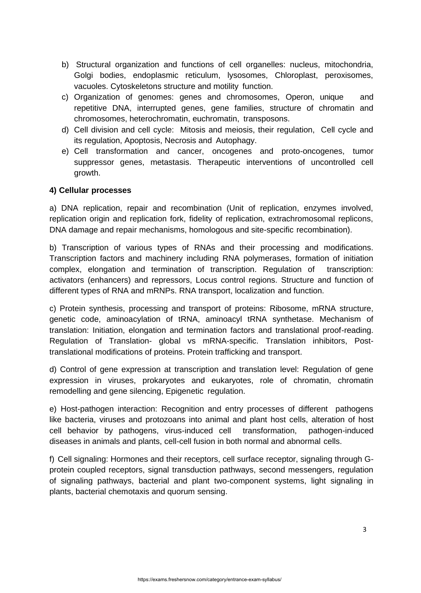- b) Structural organization and functions of cell organelles: nucleus, mitochondria, Golgi bodies, endoplasmic reticulum, lysosomes, Chloroplast, peroxisomes, vacuoles. Cytoskeletons structure and motility function.
- c) Organization of genomes: genes and chromosomes, Operon, unique and repetitive DNA, interrupted genes, gene families, structure of chromatin and chromosomes, heterochromatin, euchromatin, transposons.
- d) Cell division and cell cycle: Mitosis and meiosis, their regulation, Cell cycle and its regulation, Apoptosis, Necrosis and Autophagy.
- e) Cell transformation and cancer, oncogenes and proto-oncogenes, tumor suppressor genes, metastasis. Therapeutic interventions of uncontrolled cell growth.

## **4) Cellular processes**

a) DNA replication, repair and recombination (Unit of replication, enzymes involved, replication origin and replication fork, fidelity of replication, extrachromosomal replicons, DNA damage and repair mechanisms, homologous and site-specific recombination).

b) Transcription of various types of RNAs and their processing and modifications. Transcription factors and machinery including RNA polymerases, formation of initiation complex, elongation and termination of transcription. Regulation of transcription: activators (enhancers) and repressors, Locus control regions. Structure and function of different types of RNA and mRNPs. RNA transport, localization and function.

c) Protein synthesis, processing and transport of proteins: Ribosome, mRNA structure, genetic code, aminoacylation of tRNA, aminoacyl tRNA synthetase. Mechanism of translation: Initiation, elongation and termination factors and translational proof-reading. Regulation of Translation- global vs mRNA-specific. Translation inhibitors, Posttranslational modifications of proteins. Protein trafficking and transport.

d) Control of gene expression at transcription and translation level: Regulation of gene expression in viruses, prokaryotes and eukaryotes, role of chromatin, chromatin remodelling and gene silencing, Epigenetic regulation.

e) Host-pathogen interaction: Recognition and entry processes of different pathogens like bacteria, viruses and protozoans into animal and plant host cells, alteration of host cell behavior by pathogens, virus-induced cell transformation, pathogen-induced diseases in animals and plants, cell-cell fusion in both normal and abnormal cells.

f) Cell signaling: Hormones and their receptors, cell surface receptor, signaling through Gprotein coupled receptors, signal transduction pathways, second messengers, regulation of signaling pathways, bacterial and plant two-component systems, light signaling in plants, bacterial chemotaxis and quorum sensing.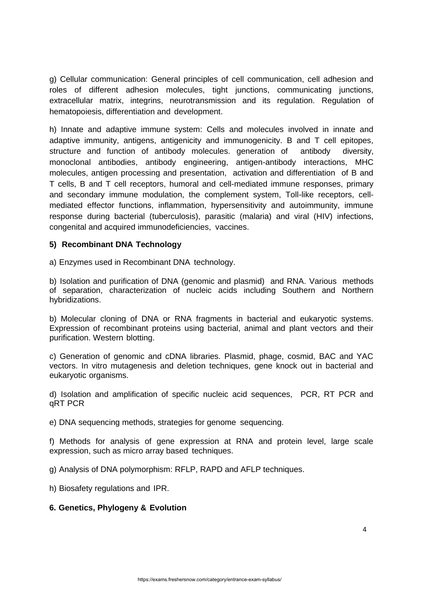g) Cellular communication: General principles of cell communication, cell adhesion and roles of different adhesion molecules, tight junctions, communicating junctions, extracellular matrix, integrins, neurotransmission and its regulation. Regulation of hematopoiesis, differentiation and development.

h) Innate and adaptive immune system: Cells and molecules involved in innate and adaptive immunity, antigens, antigenicity and immunogenicity. B and T cell epitopes, structure and function of antibody molecules. generation of antibody diversity, monoclonal antibodies, antibody engineering, antigen-antibody interactions, MHC molecules, antigen processing and presentation, activation and differentiation of B and T cells, B and T cell receptors, humoral and cell-mediated immune responses, primary and secondary immune modulation, the complement system, Toll-like receptors, cellmediated effector functions, inflammation, hypersensitivity and autoimmunity, immune response during bacterial (tuberculosis), parasitic (malaria) and viral (HIV) infections, congenital and acquired immunodeficiencies, vaccines.

### **5) Recombinant DNA Technology**

a) Enzymes used in Recombinant DNA technology.

b) Isolation and purification of DNA (genomic and plasmid) and RNA. Various methods of separation, characterization of nucleic acids including Southern and Northern hybridizations.

b) Molecular cloning of DNA or RNA fragments in bacterial and eukaryotic systems. Expression of recombinant proteins using bacterial, animal and plant vectors and their purification. Western blotting.

c) Generation of genomic and cDNA libraries. Plasmid, phage, cosmid, BAC and YAC vectors. In vitro mutagenesis and deletion techniques, gene knock out in bacterial and eukaryotic organisms.

d) Isolation and amplification of specific nucleic acid sequences, PCR, RT PCR and qRT PCR

e) DNA sequencing methods, strategies for genome sequencing.

f) Methods for analysis of gene expression at RNA and protein level, large scale expression, such as micro array based techniques.

g) Analysis of DNA polymorphism: RFLP, RAPD and AFLP techniques.

h) Biosafety regulations and IPR.

### **6. Genetics, Phylogeny & Evolution**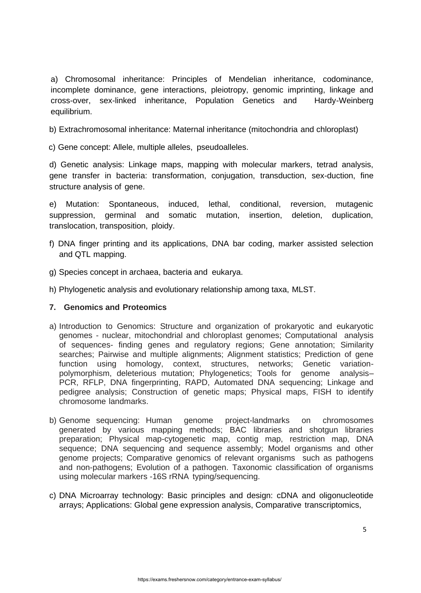a) Chromosomal inheritance: Principles of Mendelian inheritance, codominance, incomplete dominance, gene interactions, pleiotropy, genomic imprinting, linkage and cross-over, sex-linked inheritance, Population Genetics and Hardy-Weinberg equilibrium.

b) Extrachromosomal inheritance: Maternal inheritance (mitochondria and chloroplast)

c) Gene concept: Allele, multiple alleles, pseudoalleles.

d) Genetic analysis: Linkage maps, mapping with molecular markers, tetrad analysis, gene transfer in bacteria: transformation, conjugation, transduction, sex-duction, fine structure analysis of gene.

e) Mutation: Spontaneous, induced, lethal, conditional, reversion, mutagenic suppression, germinal and somatic mutation, insertion, deletion, duplication, translocation, transposition, ploidy.

- f) DNA finger printing and its applications, DNA bar coding, marker assisted selection and QTL mapping.
- g) Species concept in archaea, bacteria and eukarya.
- h) Phylogenetic analysis and evolutionary relationship among taxa, MLST.

# **7. Genomics and Proteomics**

- a) Introduction to Genomics: Structure and organization of prokaryotic and eukaryotic genomes - nuclear, mitochondrial and chloroplast genomes; Computational analysis of sequences- finding genes and regulatory regions; Gene annotation; Similarity searches; Pairwise and multiple alignments; Alignment statistics; Prediction of gene function using homology, context, structures, networks; Genetic variationpolymorphism, deleterious mutation; Phylogenetics; Tools for genome analysis– PCR, RFLP, DNA fingerprinting, RAPD, Automated DNA sequencing; Linkage and pedigree analysis; Construction of genetic maps; Physical maps, FISH to identify chromosome landmarks.
- b) Genome sequencing: Human genome project-landmarks on chromosomes generated by various mapping methods; BAC libraries and shotgun libraries preparation; Physical map-cytogenetic map, contig map, restriction map, DNA sequence; DNA sequencing and sequence assembly; Model organisms and other genome projects; Comparative genomics of relevant organisms such as pathogens and non-pathogens; Evolution of a pathogen. Taxonomic classification of organisms using molecular markers -16S rRNA typing/sequencing.
- c) DNA Microarray technology: Basic principles and design: cDNA and oligonucleotide arrays; Applications: Global gene expression analysis, Comparative transcriptomics,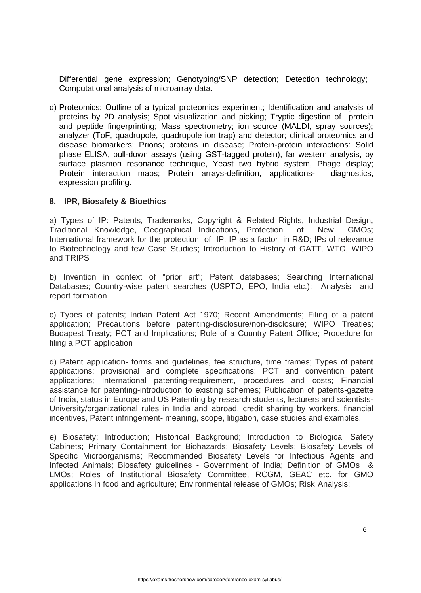Differential gene expression; Genotyping/SNP detection; Detection technology; Computational analysis of microarray data.

d) Proteomics: Outline of a typical proteomics experiment; Identification and analysis of proteins by 2D analysis; Spot visualization and picking; Tryptic digestion of protein and peptide fingerprinting; Mass spectrometry; ion source (MALDI, spray sources); analyzer (ToF, quadrupole, quadrupole ion trap) and detector; clinical proteomics and disease biomarkers; Prions; proteins in disease; Protein-protein interactions: Solid phase ELISA, pull-down assays (using GST-tagged protein), far western analysis, by surface plasmon resonance technique, Yeast two hybrid system, Phage display; Protein interaction maps; Protein arrays-definition, applications- diagnostics, expression profiling.

#### **8. IPR, Biosafety & Bioethics**

a) Types of IP: Patents, Trademarks, Copyright & Related Rights, Industrial Design, Traditional Knowledge, Geographical Indications, Protection of New GMOs; International framework for the protection of IP. IP as a factor in R&D; IPs of relevance to Biotechnology and few Case Studies; Introduction to History of GATT, WTO, WIPO and TRIPS

b) Invention in context of "prior art"; Patent databases; Searching International Databases; Country-wise patent searches (USPTO, EPO, India etc.); Analysis and report formation

c) Types of patents; Indian Patent Act 1970; Recent Amendments; Filing of a patent application; Precautions before patenting-disclosure/non-disclosure; WIPO Treaties; Budapest Treaty; PCT and Implications; Role of a Country Patent Office; Procedure for filing a PCT application

d) Patent application- forms and guidelines, fee structure, time frames; Types of patent applications: provisional and complete specifications; PCT and convention patent applications; International patenting-requirement, procedures and costs; Financial assistance for patenting-introduction to existing schemes; Publication of patents-gazette of India, status in Europe and US Patenting by research students, lecturers and scientists-University/organizational rules in India and abroad, credit sharing by workers, financial incentives, Patent infringement- meaning, scope, litigation, case studies and examples.

e) Biosafety: Introduction; Historical Background; Introduction to Biological Safety Cabinets; Primary Containment for Biohazards; Biosafety Levels; Biosafety Levels of Specific Microorganisms; Recommended Biosafety Levels for Infectious Agents and Infected Animals; Biosafety guidelines - Government of India; Definition of GMOs & LMOs; Roles of Institutional Biosafety Committee, RCGM, GEAC etc. for GMO applications in food and agriculture; Environmental release of GMOs; Risk Analysis;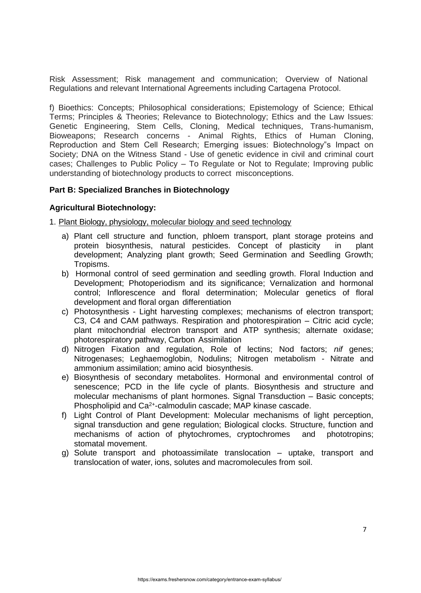Risk Assessment; Risk management and communication; Overview of National Regulations and relevant International Agreements including Cartagena Protocol.

f) Bioethics: Concepts; Philosophical considerations; Epistemology of Science; Ethical Terms; Principles & Theories; Relevance to Biotechnology; Ethics and the Law Issues: Genetic Engineering, Stem Cells, Cloning, Medical techniques, Trans-humanism, Bioweapons; Research concerns - Animal Rights, Ethics of Human Cloning, Reproduction and Stem Cell Research; Emerging issues: Biotechnology"s Impact on Society; DNA on the Witness Stand - Use of genetic evidence in civil and criminal court cases; Challenges to Public Policy – To Regulate or Not to Regulate; Improving public understanding of biotechnology products to correct misconceptions.

### **Part B: Specialized Branches in Biotechnology**

#### **Agricultural Biotechnology:**

1. Plant Biology, physiology, molecular biology and seed technology

- a) Plant cell structure and function, phloem transport, plant storage proteins and protein biosynthesis, natural pesticides. Concept of plasticity in plant development; Analyzing plant growth; Seed Germination and Seedling Growth; Tropisms.
- b) Hormonal control of seed germination and seedling growth. Floral Induction and Development; Photoperiodism and its significance; Vernalization and hormonal control; Inflorescence and floral determination; Molecular genetics of floral development and floral organ differentiation
- c) Photosynthesis Light harvesting complexes; mechanisms of electron transport; C3, C4 and CAM pathways. Respiration and photorespiration – Citric acid cycle; plant mitochondrial electron transport and ATP synthesis; alternate oxidase; photorespiratory pathway, Carbon Assimilation
- d) Nitrogen Fixation and regulation, Role of lectins; Nod factors; *nif* genes; Nitrogenases; Leghaemoglobin, Nodulins; Nitrogen metabolism - Nitrate and ammonium assimilation; amino acid biosynthesis.
- e) Biosynthesis of secondary metabolites. Hormonal and environmental control of senescence; PCD in the life cycle of plants. Biosynthesis and structure and molecular mechanisms of plant hormones. Signal Transduction – Basic concepts; Phospholipid and Ca<sup>2+</sup>-calmodulin cascade; MAP kinase cascade.
- f) Light Control of Plant Development: Molecular mechanisms of light perception, signal transduction and gene regulation; Biological clocks. Structure, function and mechanisms of action of phytochromes, cryptochromes and phototropins; stomatal movement.
- g) Solute transport and photoassimilate translocation uptake, transport and translocation of water, ions, solutes and macromolecules from soil.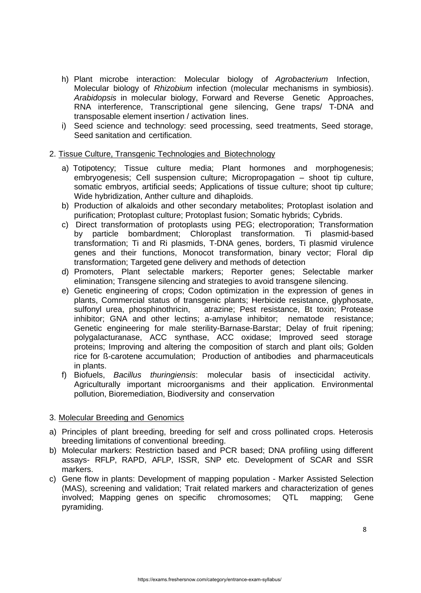- h) Plant microbe interaction: Molecular biology of *Agrobacterium* Infection, Molecular biology of *Rhizobium* infection (molecular mechanisms in symbiosis). *Arabidopsis* in molecular biology, Forward and Reverse Genetic Approaches, RNA interference, Transcriptional gene silencing, Gene traps/ T-DNA and transposable element insertion / activation lines.
- i) Seed science and technology: seed processing, seed treatments, Seed storage, Seed sanitation and certification.

### 2. Tissue Culture, Transgenic Technologies and Biotechnology

- a) Totipotency; Tissue culture media; Plant hormones and morphogenesis; embryogenesis; Cell suspension culture; Micropropagation – shoot tip culture, somatic embryos, artificial seeds; Applications of tissue culture; shoot tip culture; Wide hybridization, Anther culture and dihaploids.
- b) Production of alkaloids and other secondary metabolites; Protoplast isolation and purification; Protoplast culture; Protoplast fusion; Somatic hybrids; Cybrids.
- c) Direct transformation of protoplasts using PEG; electroporation; Transformation by particle bombardment; Chloroplast transformation. Ti plasmid-based transformation; Ti and Ri plasmids, T-DNA genes, borders, Ti plasmid virulence genes and their functions, Monocot transformation, binary vector; Floral dip transformation; Targeted gene delivery and methods of detection
- d) Promoters, Plant selectable markers; Reporter genes; Selectable marker elimination; Transgene silencing and strategies to avoid transgene silencing.
- e) Genetic engineering of crops; Codon optimization in the expression of genes in plants, Commercial status of transgenic plants; Herbicide resistance, glyphosate, sulfonyl urea, phosphinothricin, atrazine; Pest resistance, Bt toxin; Protease inhibitor; GNA and other lectins; a-amylase inhibitor; nematode resistance; Genetic engineering for male sterility-Barnase-Barstar; Delay of fruit ripening; polygalacturanase, ACC synthase, ACC oxidase; Improved seed storage proteins; Improving and altering the composition of starch and plant oils; Golden rice for ß-carotene accumulation; Production of antibodies and pharmaceuticals in plants.
- f) Biofuels, *Bacillus thuringiensis*: molecular basis of insecticidal activity. Agriculturally important microorganisms and their application. Environmental pollution, Bioremediation, Biodiversity and conservation

### 3. Molecular Breeding and Genomics

- a) Principles of plant breeding, breeding for self and cross pollinated crops. Heterosis breeding limitations of conventional breeding.
- b) Molecular markers: Restriction based and PCR based; DNA profiling using different assays- RFLP, RAPD, AFLP, ISSR, SNP etc. Development of SCAR and SSR markers.
- c) Gene flow in plants: Development of mapping population Marker Assisted Selection (MAS), screening and validation; Trait related markers and characterization of genes involved; Mapping genes on specific chromosomes; QTL mapping; Gene pyramiding.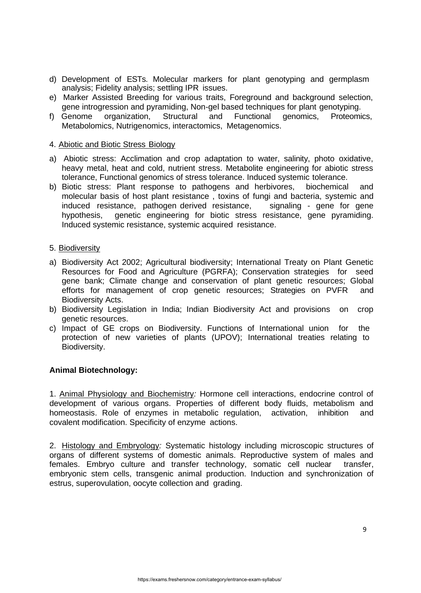- d) Development of ESTs. Molecular markers for plant genotyping and germplasm analysis; Fidelity analysis; settling IPR issues.
- e) Marker Assisted Breeding for various traits, Foreground and background selection, gene introgression and pyramiding, Non-gel based techniques for plant genotyping.
- f) Genome organization, Structural and Functional genomics, Proteomics, Metabolomics, Nutrigenomics, interactomics, Metagenomics.

#### 4. Abiotic and Biotic Stress Biology

- a) Abiotic stress: Acclimation and crop adaptation to water, salinity, photo oxidative, heavy metal, heat and cold, nutrient stress. Metabolite engineering for abiotic stress tolerance, Functional genomics of stress tolerance. Induced systemic tolerance.
- b) Biotic stress: Plant response to pathogens and herbivores, biochemical and molecular basis of host plant resistance , toxins of fungi and bacteria, systemic and induced resistance, pathogen derived resistance, signaling - gene for gene hypothesis, genetic engineering for biotic stress resistance, gene pyramiding. Induced systemic resistance, systemic acquired resistance.

#### 5. Biodiversity

- a) Biodiversity Act 2002; Agricultural biodiversity; International Treaty on Plant Genetic Resources for Food and Agriculture (PGRFA); Conservation strategies for seed gene bank; Climate change and conservation of plant genetic resources; Global efforts for management of crop genetic resources; Strategies on PVFR and Biodiversity Acts.
- b) Biodiversity Legislation in India; Indian Biodiversity Act and provisions on crop genetic resources.
- c) Impact of GE crops on Biodiversity. Functions of International union for the protection of new varieties of plants (UPOV); International treaties relating to Biodiversity.

### **Animal Biotechnology:**

1. Animal Physiology and Biochemistry*:* Hormone cell interactions, endocrine control of development of various organs. Properties of different body fluids, metabolism and homeostasis. Role of enzymes in metabolic regulation, activation, inhibition and covalent modification. Specificity of enzyme actions.

2. Histology and Embryology*:* Systematic histology including microscopic structures of organs of different systems of domestic animals. Reproductive system of males and females. Embryo culture and transfer technology, somatic cell nuclear transfer, embryonic stem cells, transgenic animal production. Induction and synchronization of estrus, superovulation, oocyte collection and grading.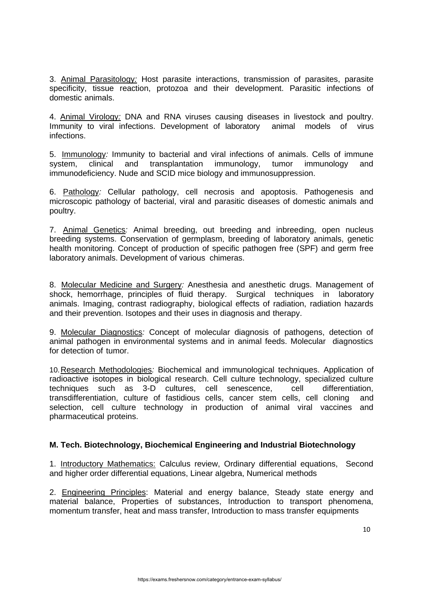3. Animal Parasitology*:* Host parasite interactions, transmission of parasites, parasite specificity, tissue reaction, protozoa and their development. Parasitic infections of domestic animals.

4. Animal Virology*:* DNA and RNA viruses causing diseases in livestock and poultry. Immunity to viral infections. Development of laboratory animal models of virus infections.

5. Immunology*:* Immunity to bacterial and viral infections of animals. Cells of immune system, clinical and transplantation immunology, tumor immunology and immunodeficiency. Nude and SCID mice biology and immunosuppression.

6. Pathology*:* Cellular pathology, cell necrosis and apoptosis. Pathogenesis and microscopic pathology of bacterial, viral and parasitic diseases of domestic animals and poultry.

7. Animal Genetics*:* Animal breeding, out breeding and inbreeding, open nucleus breeding systems. Conservation of germplasm, breeding of laboratory animals, genetic health monitoring. Concept of production of specific pathogen free (SPF) and germ free laboratory animals. Development of various chimeras.

8. Molecular Medicine and Surgery*:* Anesthesia and anesthetic drugs. Management of shock, hemorrhage, principles of fluid therapy. Surgical techniques in laboratory animals. Imaging, contrast radiography, biological effects of radiation, radiation hazards and their prevention. Isotopes and their uses in diagnosis and therapy.

9. Molecular Diagnostics*:* Concept of molecular diagnosis of pathogens, detection of animal pathogen in environmental systems and in animal feeds. Molecular diagnostics for detection of tumor.

10.Research Methodologies*:* Biochemical and immunological techniques. Application of radioactive isotopes in biological research. Cell culture technology, specialized culture techniques such as 3-D cultures, cell senescence, cell differentiation, transdifferentiation, culture of fastidious cells, cancer stem cells, cell cloning and selection, cell culture technology in production of animal viral vaccines and pharmaceutical proteins.

### **M. Tech. Biotechnology, Biochemical Engineering and Industrial Biotechnology**

1. Introductory Mathematics: Calculus review, Ordinary differential equations, Second and higher order differential equations, Linear algebra, Numerical methods

2. Engineering Principles: Material and energy balance, Steady state energy and material balance, Properties of substances, Introduction to transport phenomena, momentum transfer, heat and mass transfer, Introduction to mass transfer equipments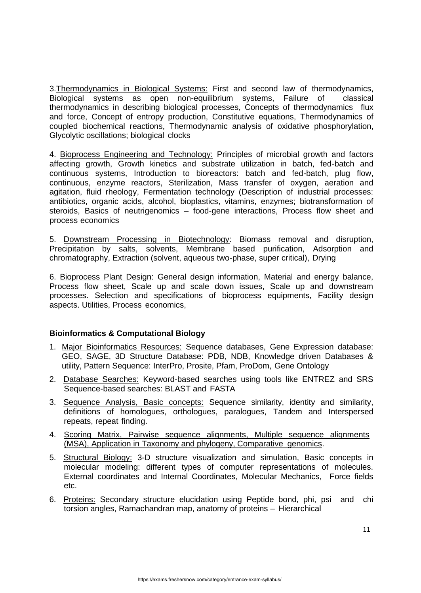3.Thermodynamics in Biological Systems: First and second law of thermodynamics, Biological systems as open non-equilibrium systems, Failure of classical thermodynamics in describing biological processes, Concepts of thermodynamics flux and force, Concept of entropy production, Constitutive equations, Thermodynamics of coupled biochemical reactions, Thermodynamic analysis of oxidative phosphorylation, Glycolytic oscillations; biological clocks

4. Bioprocess Engineering and Technology: Principles of microbial growth and factors affecting growth, Growth kinetics and substrate utilization in batch, fed-batch and continuous systems, Introduction to bioreactors: batch and fed-batch, plug flow, continuous, enzyme reactors, Sterilization, Mass transfer of oxygen, aeration and agitation, fluid rheology, Fermentation technology (Description of industrial processes: antibiotics, organic acids, alcohol, bioplastics, vitamins, enzymes; biotransformation of steroids, Basics of neutrigenomics – food-gene interactions, Process flow sheet and process economics

5. Downstream Processing in Biotechnology: Biomass removal and disruption, Precipitation by salts, solvents, Membrane based purification, Adsorption and chromatography, Extraction (solvent, aqueous two-phase, super critical), Drying

6. Bioprocess Plant Design: General design information, Material and energy balance, Process flow sheet, Scale up and scale down issues, Scale up and downstream processes. Selection and specifications of bioprocess equipments, Facility design aspects. Utilities, Process economics,

# **Bioinformatics & Computational Biology**

- 1. Major Bioinformatics Resources: Sequence databases, Gene Expression database: GEO, SAGE, 3D Structure Database: PDB, NDB, Knowledge driven Databases & utility, Pattern Sequence: InterPro, Prosite, Pfam, ProDom, Gene Ontology
- 2. Database Searches: Keyword-based searches using tools like ENTREZ and SRS Sequence-based searches: BLAST and FASTA
- 3. Sequence Analysis, Basic concepts: Sequence similarity, identity and similarity, definitions of homologues, orthologues, paralogues, Tandem and Interspersed repeats, repeat finding.
- 4. Scoring Matrix, Pairwise sequence alignments, Multiple sequence alignments (MSA), Application in Taxonomy and phylogeny, Comparative genomics.
- 5. Structural Biology: 3-D structure visualization and simulation, Basic concepts in molecular modeling: different types of computer representations of molecules. External coordinates and Internal Coordinates, Molecular Mechanics, Force fields etc.
- 6. Proteins: Secondary structure elucidation using Peptide bond, phi, psi and chi torsion angles, Ramachandran map, anatomy of proteins – Hierarchical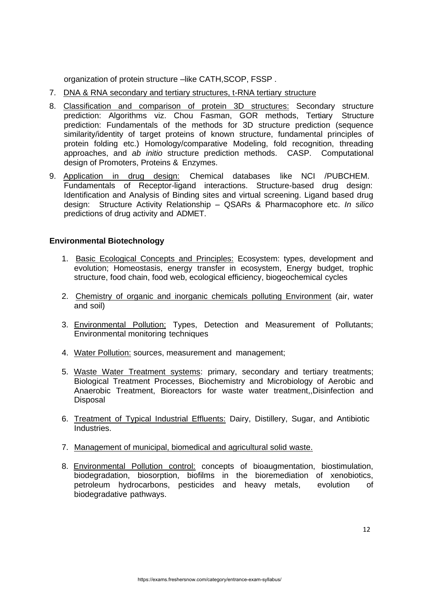organization of protein structure –like CATH, SCOP, FSSP.

- 7. DNA & RNA secondary and tertiary structures, t-RNA tertiary structure
- 8. Classification and comparison of protein 3D structures: Secondary structure prediction: Algorithms viz. Chou Fasman, GOR methods, Tertiary Structure prediction: Fundamentals of the methods for 3D structure prediction (sequence similarity/identity of target proteins of known structure, fundamental principles of protein folding etc.) Homology/comparative Modeling, fold recognition, threading approaches, and *ab initio* structure prediction methods. CASP. Computational design of Promoters, Proteins & Enzymes.
- 9. Application in drug design: Chemical databases like NCI /PUBCHEM. Fundamentals of Receptor-ligand interactions. Structure-based drug design: Identification and Analysis of Binding sites and virtual screening. Ligand based drug design: Structure Activity Relationship – QSARs & Pharmacophore etc. *In silico*  predictions of drug activity and ADMET.

### **Environmental Biotechnology**

- 1. Basic Ecological Concepts and Principles: Ecosystem: types, development and evolution; Homeostasis, energy transfer in ecosystem, Energy budget, trophic structure, food chain, food web, ecological efficiency, biogeochemical cycles
- 2. Chemistry of organic and inorganic chemicals polluting Environment (air, water and soil)
- 3. Environmental Pollution: Types, Detection and Measurement of Pollutants; Environmental monitoring techniques
- 4. Water Pollution: sources, measurement and management;
- 5. Waste Water Treatment systems: primary, secondary and tertiary treatments; Biological Treatment Processes, Biochemistry and Microbiology of Aerobic and Anaerobic Treatment, Bioreactors for waste water treatment,,Disinfection and **Disposal**
- 6. Treatment of Typical Industrial Effluents: Dairy, Distillery, Sugar, and Antibiotic Industries.
- 7. Management of municipal, biomedical and agricultural solid waste.
- 8. Environmental Pollution control: concepts of bioaugmentation, biostimulation, biodegradation, biosorption, biofilms in the bioremediation of xenobiotics, petroleum hydrocarbons, pesticides and heavy metals, evolution of biodegradative pathways.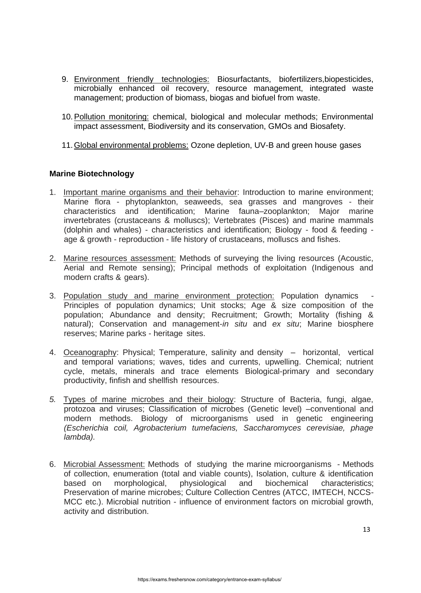- 9. Environment friendly technologies: Biosurfactants, biofertilizers, biopesticides, microbially enhanced oil recovery, resource management, integrated waste management; production of biomass, biogas and biofuel from waste.
- 10.Pollution monitoring: chemical, biological and molecular methods; Environmental impact assessment, Biodiversity and its conservation, GMOs and Biosafety.
- 11.Global environmental problems: Ozone depletion, UV-B and green house gases

## **Marine Biotechnology**

- 1. Important marine organisms and their behavior: Introduction to marine environment; Marine flora - phytoplankton, seaweeds, sea grasses and mangroves - their characteristics and identification; Marine fauna–zooplankton; Major marine invertebrates (crustaceans & molluscs); Vertebrates (Pisces) and marine mammals (dolphin and whales) - characteristics and identification; Biology - food & feeding age & growth - reproduction - life history of crustaceans, molluscs and fishes.
- 2. Marine resources assessment: Methods of surveying the living resources (Acoustic, Aerial and Remote sensing); Principal methods of exploitation (Indigenous and modern crafts & gears).
- 3. Population study and marine environment protection: Population dynamics Principles of population dynamics; Unit stocks; Age & size composition of the population; Abundance and density; Recruitment; Growth; Mortality (fishing & natural); Conservation and management-*in situ* and *ex situ*; Marine biosphere reserves; Marine parks - heritage sites.
- 4. Oceanography: Physical; Temperature, salinity and density horizontal, vertical and temporal variations; waves, tides and currents, upwelling. Chemical; nutrient cycle, metals, minerals and trace elements Biological-primary and secondary productivity, finfish and shellfish resources.
- *5.* Types of marine microbes and their biology: Structure of Bacteria, fungi, algae, protozoa and viruses; Classification of microbes (Genetic level) –conventional and modern methods. Biology of microorganisms used in genetic engineering *(Escherichia coil, Agrobacterium tumefaciens, Saccharomyces cerevisiae, phage lambda).*
- 6. Microbial Assessment: Methods of studying the marine microorganisms Methods of collection, enumeration (total and viable counts), Isolation, culture & identification based on morphological, physiological and biochemical characteristics; Preservation of marine microbes; Culture Collection Centres (ATCC, IMTECH, NCCS-MCC etc.). Microbial nutrition - influence of environment factors on microbial growth, activity and distribution.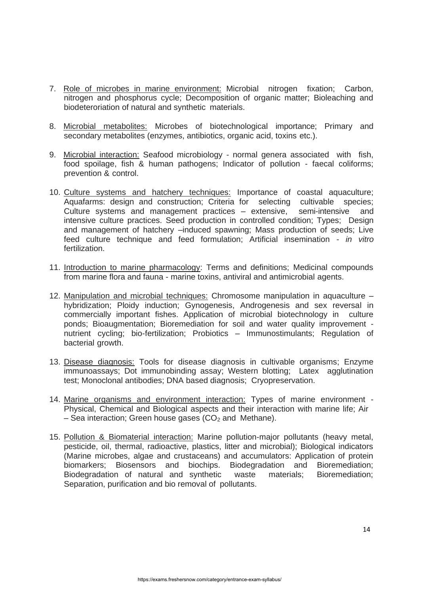- 7. Role of microbes in marine environment: Microbial nitrogen fixation; Carbon, nitrogen and phosphorus cycle; Decomposition of organic matter; Bioleaching and biodeteroriation of natural and synthetic materials.
- 8. Microbial metabolites: Microbes of biotechnological importance; Primary and secondary metabolites (enzymes, antibiotics, organic acid, toxins etc.).
- 9. Microbial interaction: Seafood microbiology normal genera associated with fish, food spoilage, fish & human pathogens; Indicator of pollution - faecal coliforms; prevention & control.
- 10. Culture systems and hatchery techniques: Importance of coastal aquaculture; Aquafarms: design and construction; Criteria for selecting cultivable species; Culture systems and management practices – extensive, semi-intensive and intensive culture practices. Seed production in controlled condition; Types; Design and management of hatchery –induced spawning; Mass production of seeds; Live feed culture technique and feed formulation; Artificial insemination - *in vitro*  fertilization.
- 11. Introduction to marine pharmacology: Terms and definitions; Medicinal compounds from marine flora and fauna - marine toxins, antiviral and antimicrobial agents.
- 12. Manipulation and microbial techniques: Chromosome manipulation in aquaculture hybridization; Ploidy induction; Gynogenesis, Androgenesis and sex reversal in commercially important fishes. Application of microbial biotechnology in culture ponds; Bioaugmentation; Bioremediation for soil and water quality improvement nutrient cycling; bio-fertilization; Probiotics – Immunostimulants; Regulation of bacterial growth.
- 13. Disease diagnosis: Tools for disease diagnosis in cultivable organisms; Enzyme immunoassays; Dot immunobinding assay; Western blotting; Latex agglutination test; Monoclonal antibodies; DNA based diagnosis; Cryopreservation.
- 14. Marine organisms and environment interaction: Types of marine environment Physical, Chemical and Biological aspects and their interaction with marine life; Air – Sea interaction; Green house gases  $(CO<sub>2</sub>$  and Methane).
- 15. Pollution & Biomaterial interaction: Marine pollution-major pollutants (heavy metal, pesticide, oil, thermal, radioactive, plastics, litter and microbial); Biological indicators (Marine microbes, algae and crustaceans) and accumulators: Application of protein biomarkers; Biosensors and biochips. Biodegradation and Bioremediation; Biodegradation of natural and synthetic waste materials; Bioremediation; Separation, purification and bio removal of pollutants.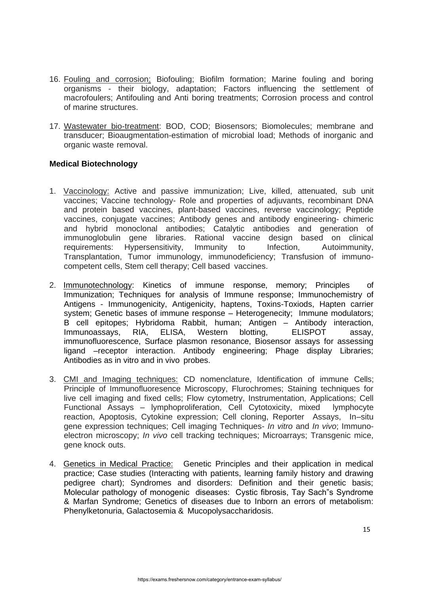- 16. Fouling and corrosion: Biofouling; Biofilm formation; Marine fouling and boring organisms - their biology, adaptation; Factors influencing the settlement of macrofoulers; Antifouling and Anti boring treatments; Corrosion process and control of marine structures.
- 17. Wastewater bio-treatment: BOD, COD; Biosensors; Biomolecules; membrane and transducer; Bioaugmentation-estimation of microbial load; Methods of inorganic and organic waste removal.

### **Medical Biotechnology**

- 1. Vaccinology: Active and passive immunization; Live, killed, attenuated, sub unit vaccines; Vaccine technology- Role and properties of adjuvants, recombinant DNA and protein based vaccines, plant-based vaccines, reverse vaccinology; Peptide vaccines, conjugate vaccines; Antibody genes and antibody engineering- chimeric and hybrid monoclonal antibodies; Catalytic antibodies and generation of immunoglobulin gene libraries. Rational vaccine design based on clinical requirements: Hypersensitivity, Immunity to Infection, Autoimmunity, Transplantation, Tumor immunology, immunodeficiency; Transfusion of immunocompetent cells, Stem cell therapy; Cell based vaccines.
- 2. Immunotechnology: Kinetics of immune response, memory; Principles of Immunization; Techniques for analysis of Immune response; Immunochemistry of Antigens - Immunogenicity, Antigenicity, haptens, Toxins-Toxiods, Hapten carrier system; Genetic bases of immune response – Heterogenecity; Immune modulators; B cell epitopes; Hybridoma Rabbit, human; Antigen – Antibody interaction, Immunoassays, RIA, ELISA, Western blotting, ELISPOT assay, immunofluorescence, Surface plasmon resonance, Biosensor assays for assessing ligand –receptor interaction. Antibody engineering; Phage display Libraries; Antibodies as in vitro and in vivo probes.
- 3. CMI and Imaging techniques: CD nomenclature, Identification of immune Cells; Principle of Immunofluoresence Microscopy, Flurochromes; Staining techniques for live cell imaging and fixed cells; Flow cytometry, Instrumentation, Applications; Cell Functional Assays – lymphoproliferation, Cell Cytotoxicity, mixed lymphocyte reaction, Apoptosis, Cytokine expression; Cell cloning, Reporter Assays, In–situ gene expression techniques; Cell imaging Techniques- *In vitro* and *In vivo*; Immunoelectron microscopy; *In vivo* cell tracking techniques; Microarrays; Transgenic mice, gene knock outs.
- 4. Genetics in Medical Practice: Genetic Principles and their application in medical practice; Case studies (Interacting with patients, learning family history and drawing pedigree chart); Syndromes and disorders: Definition and their genetic basis; Molecular pathology of monogenic diseases: Cystic fibrosis, Tay Sach"s Syndrome & Marfan Syndrome; Genetics of diseases due to Inborn an errors of metabolism: Phenylketonuria, Galactosemia & Mucopolysaccharidosis.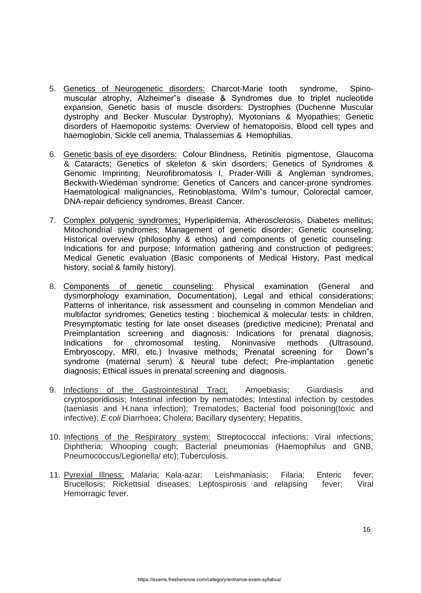- 5. Genetics of Neurogenetic disorders: Charcot-Marie tooth syndrome, Spinomuscular atrophy, Alzheimer"s disease & Syndromes due to triplet nucleotide expansion, Genetic basis of muscle disorders: Dystrophies (Duchenne Muscular dystrophy and Becker Muscular Dystrophy), Myotonians & Myopathies; Genetic disorders of Haemopoitic systems: Overview of hematopoisis, Blood cell types and haemoglobin, Sickle cell anemia, Thalassemias & Hemophilias.
- 6. Genetic basis of eye disorders: Colour Blindness, Retinitis pigmentose, Glaucoma & Cataracts; Genetics of skeleton & skin disorders; Genetics of Syndromes & Genomic Imprinting; Neurofibromatosis I, Prader-Willi & Angleman syndromes, Beckwith-Wiedeman syndrome; Genetics of Cancers and cancer-prone syndromes. Haematological malignancies, Retinoblastoma, Wilm"s tumour, Colorectal camcer, DNA-repair deficiency syndromes, Breast Cancer.
- 7. Complex polygenic syndromes: Hyperlipidemia, Atherosclerosis, Diabetes mellitus; Mitochondrial syndromes; Management of genetic disorder; Genetic counseling; Historical overview (philosophy & ethos) and components of genetic counseling: Indications for and purpose; Information gathering and construction of pedigrees; Medical Genetic evaluation (Basic components of Medical History, Past medical history, social & family history).
- 8. Components of genetic counseling: Physical examination (General and dysmorphology examination, Documentation), Legal and ethical considerations; Patterns of inheritance, risk assessment and counseling in common Mendelian and multifactor syndromes; Genetics testing : biochemical & molecular tests: in children, Presymptomatic testing for late onset diseases (predictive medicine); Prenatal and Preimplantation screening and diagnosis: Indications for prenatal diagnosis, Indications for chromosomal testing, Noninvasive methods (Ultrasound, Embryoscopy, MRI, etc.) Invasive methods; Prenatal screening for Down"s syndrome (maternal serum) & Neural tube defect; Pre-implantation genetic diagnosis; Ethical issues in prenatal screening and diagnosis.
- 9. Infections of the Gastrointestinal Tract: Amoebiasis; Giardiasis and cryptosporidiosis; Intestinal infection by nematodes; Intestinal infection by cestodes (taeniasis and H.nana infection); Trematodes; Bacterial food poisoning(toxic and infective); *E.coli* Diarrhoea; Cholera; Bacillary dysentery; Hepatitis.
- 10. Infections of the Respiratory system: Streptococcal infections; Viral infections; Diphtheria; Whooping cough; Bacterial pneumonias (Haemophilus and GNB, Pneumococcus/Legionella/ etc); Tuberculosis.
- 11. Pyrexial Illness: Malaria; Kala-azar; Leishmaniasis; Filaria; Enteric fever; Brucellosis; Rickettsial diseases; Leptospirosis and relapsing fever; Viral Hemorragic fever.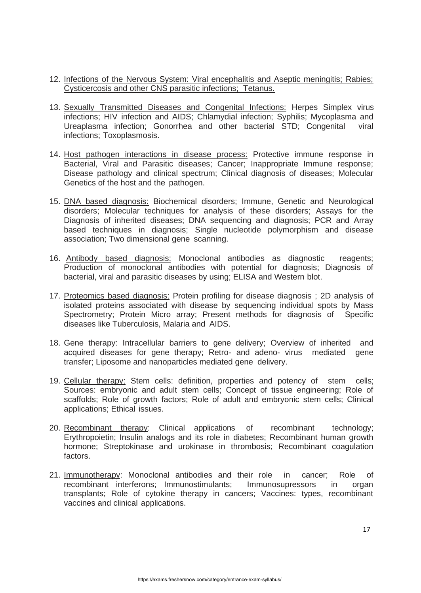- 12. Infections of the Nervous System: Viral encephalitis and Aseptic meningitis; Rabies; Cysticercosis and other CNS parasitic infections; Tetanus.
- 13. Sexually Transmitted Diseases and Congenital Infections: Herpes Simplex virus infections; HIV infection and AIDS; Chlamydial infection; Syphilis; Mycoplasma and Ureaplasma infection; Gonorrhea and other bacterial STD; Congenital viral infections; Toxoplasmosis.
- 14. Host pathogen interactions in disease process: Protective immune response in Bacterial, Viral and Parasitic diseases; Cancer; Inappropriate Immune response; Disease pathology and clinical spectrum; Clinical diagnosis of diseases; Molecular Genetics of the host and the pathogen.
- 15. DNA based diagnosis: Biochemical disorders; Immune, Genetic and Neurological disorders; Molecular techniques for analysis of these disorders; Assays for the Diagnosis of inherited diseases; DNA sequencing and diagnosis; PCR and Array based techniques in diagnosis; Single nucleotide polymorphism and disease association; Two dimensional gene scanning.
- 16. Antibody based diagnosis: Monoclonal antibodies as diagnostic reagents; Production of monoclonal antibodies with potential for diagnosis; Diagnosis of bacterial, viral and parasitic diseases by using; ELISA and Western blot.
- 17. Proteomics based diagnosis: Protein profiling for disease diagnosis ; 2D analysis of isolated proteins associated with disease by sequencing individual spots by Mass Spectrometry; Protein Micro array; Present methods for diagnosis of Specific diseases like Tuberculosis, Malaria and AIDS.
- 18. Gene therapy: Intracellular barriers to gene delivery; Overview of inherited and acquired diseases for gene therapy; Retro- and adeno- virus mediated gene transfer; Liposome and nanoparticles mediated gene delivery.
- 19. Cellular therapy: Stem cells: definition, properties and potency of stem cells; Sources: embryonic and adult stem cells; Concept of tissue engineering; Role of scaffolds; Role of growth factors; Role of adult and embryonic stem cells; Clinical applications; Ethical issues.
- 20. Recombinant therapy: Clinical applications of recombinant technology; Erythropoietin; Insulin analogs and its role in diabetes; Recombinant human growth hormone; Streptokinase and urokinase in thrombosis; Recombinant coagulation factors.
- 21. Immunotherapy: Monoclonal antibodies and their role in cancer; Role of recombinant interferons; Immunostimulants; Immunosupressors in organ transplants; Role of cytokine therapy in cancers; Vaccines: types, recombinant vaccines and clinical applications.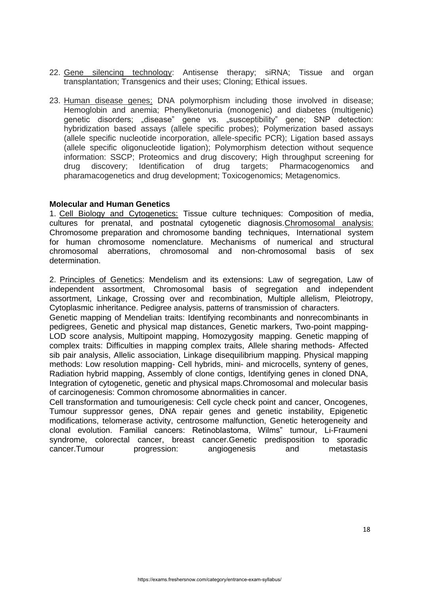- 22. Gene silencing technology: Antisense therapy; siRNA; Tissue and organ transplantation; Transgenics and their uses; Cloning; Ethical issues.
- 23. Human disease genes: DNA polymorphism including those involved in disease; Hemoglobin and anemia; Phenylketonuria (monogenic) and diabetes (multigenic) genetic disorders; "disease" gene vs. "susceptibility" gene; SNP detection: hybridization based assays (allele specific probes); Polymerization based assays (allele specific nucleotide incorporation, allele-specific PCR); Ligation based assays (allele specific oligonucleotide ligation); Polymorphism detection without sequence information: SSCP; Proteomics and drug discovery; High throughput screening for drug discovery; Identification of drug targets; Pharmacogenomics and pharamacogenetics and drug development; Toxicogenomics; Metagenomics.

### **Molecular and Human Genetics**

1. Cell Biology and Cytogenetics: Tissue culture techniques: Composition of media, cultures for prenatal, and postnatal cytogenetic diagnosis.Chromosomal analysis: Chromosome preparation and chromosome banding techniques, International system for human chromosome nomenclature. Mechanisms of numerical and structural chromosomal aberrations, chromosomal and non-chromosomal basis of sex determination.

2. Principles of Genetics: Mendelism and its extensions: Law of segregation, Law of independent assortment, Chromosomal basis of segregation and independent assortment, Linkage, Crossing over and recombination, Multiple allelism, Pleiotropy, Cytoplasmic inheritance. Pedigree analysis, patterns of transmission of characters.

Genetic mapping of Mendelian traits: Identifying recombinants and nonrecombinants in pedigrees, Genetic and physical map distances, Genetic markers, Two-point mapping-LOD score analysis, Multipoint mapping, Homozygosity mapping. Genetic mapping of complex traits: Difficulties in mapping complex traits, Allele sharing methods- Affected sib pair analysis, Allelic association, Linkage disequilibrium mapping. Physical mapping methods: Low resolution mapping- Cell hybrids, mini- and microcells, synteny of genes, Radiation hybrid mapping, Assembly of clone contigs, Identifying genes in cloned DNA, Integration of cytogenetic, genetic and physical maps.Chromosomal and molecular basis of carcinogenesis: Common chromosome abnormalities in cancer.

Cell transformation and tumourigenesis: Cell cycle check point and cancer, Oncogenes, Tumour suppressor genes, DNA repair genes and genetic instability, Epigenetic modifications, telomerase activity, centrosome malfunction, Genetic heterogeneity and clonal evolution. Familial cancers: Retinoblastoma, Wilms" tumour, Li-Fraumeni syndrome, colorectal cancer, breast cancer.Genetic predisposition to sporadic cancer.Tumour progression: angiogenesis and metastasis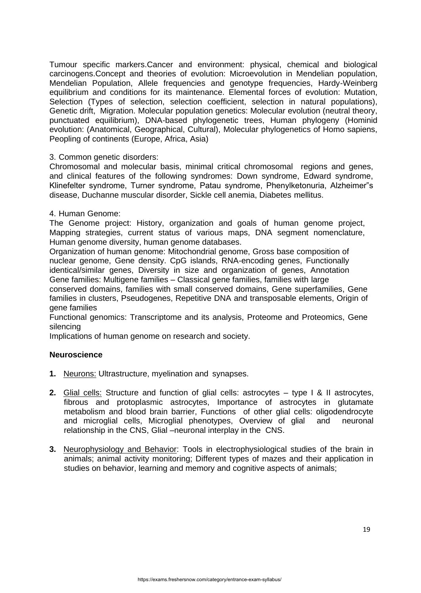Tumour specific markers.Cancer and environment: physical, chemical and biological carcinogens.Concept and theories of evolution: Microevolution in Mendelian population, Mendelian Population, Allele frequencies and genotype frequencies, Hardy-Weinberg equilibrium and conditions for its maintenance. Elemental forces of evolution: Mutation, Selection (Types of selection, selection coefficient, selection in natural populations), Genetic drift, Migration. Molecular population genetics: Molecular evolution (neutral theory, punctuated equilibrium), DNA-based phylogenetic trees, Human phylogeny (Hominid evolution: (Anatomical, Geographical, Cultural), Molecular phylogenetics of Homo sapiens, Peopling of continents (Europe, Africa, Asia)

#### 3. Common genetic disorders:

Chromosomal and molecular basis, minimal critical chromosomal regions and genes, and clinical features of the following syndromes: Down syndrome, Edward syndrome, Klinefelter syndrome, Turner syndrome, Patau syndrome, Phenylketonuria, Alzheimer"s disease, Duchanne muscular disorder, Sickle cell anemia, Diabetes mellitus.

#### 4. Human Genome:

The Genome project: History, organization and goals of human genome project, Mapping strategies, current status of various maps, DNA segment nomenclature, Human genome diversity, human genome databases.

Organization of human genome: Mitochondrial genome, Gross base composition of nuclear genome, Gene density. CpG islands, RNA-encoding genes, Functionally identical/similar genes, Diversity in size and organization of genes, Annotation Gene families: Multigene families – Classical gene families, families with large

conserved domains, families with small conserved domains, Gene superfamilies, Gene families in clusters, Pseudogenes, Repetitive DNA and transposable elements, Origin of gene families

Functional genomics: Transcriptome and its analysis, Proteome and Proteomics, Gene silencing

Implications of human genome on research and society.

### **Neuroscience**

- **1.** Neurons: Ultrastructure, myelination and synapses.
- **2.** Glial cells: Structure and function of glial cells: astrocytes type I & II astrocytes, fibrous and protoplasmic astrocytes, Importance of astrocytes in glutamate metabolism and blood brain barrier, Functions of other glial cells: oligodendrocyte and microglial cells, Microglial phenotypes, Overview of glial and neuronal relationship in the CNS, Glial –neuronal interplay in the CNS.
- **3.** Neurophysiology and Behavior: Tools in electrophysiological studies of the brain in animals; animal activity monitoring; Different types of mazes and their application in studies on behavior, learning and memory and cognitive aspects of animals;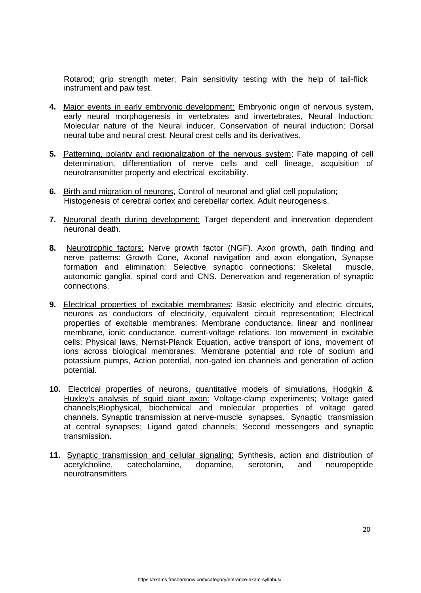Rotarod; grip strength meter; Pain sensitivity testing with the help of tail-flick instrument and paw test.

- **4.** Major events in early embryonic development: Embryonic origin of nervous system, early neural morphogenesis in vertebrates and invertebrates, Neural Induction: Molecular nature of the Neural inducer, Conservation of neural induction; Dorsal neural tube and neural crest; Neural crest cells and its derivatives.
- **5.** Patterning, polarity and regionalization of the nervous system; Fate mapping of cell determination, differentiation of nerve cells and cell lineage, acquisition of neurotransmitter property and electrical excitability.
- **6.** Birth and migration of neurons, Control of neuronal and glial cell population; Histogenesis of cerebral cortex and cerebellar cortex. Adult neurogenesis.
- **7.** Neuronal death during development: Target dependent and innervation dependent neuronal death.
- **8.** Neurotrophic factors: Nerve growth factor (NGF). Axon growth, path finding and nerve patterns: Growth Cone, Axonal navigation and axon elongation, Synapse formation and elimination: Selective synaptic connections: Skeletal muscle, autonomic ganglia, spinal cord and CNS. Denervation and regeneration of synaptic connections.
- **9.** Electrical properties of excitable membranes: Basic electricity and electric circuits, neurons as conductors of electricity, equivalent circuit representation; Electrical properties of excitable membranes: Membrane conductance, linear and nonlinear membrane, ionic conductance, current-voltage relations. Ion movement in excitable cells: Physical laws, Nernst-Planck Equation, active transport of ions, movement of ions across biological membranes; Membrane potential and role of sodium and potassium pumps, Action potential, non-gated ion channels and generation of action potential.
- **10.** Electrical properties of neurons, quantitative models of simulations, Hodgkin & Huxley's analysis of squid giant axon: Voltage-clamp experiments; Voltage gated channels;Biophysical, biochemical and molecular properties of voltage gated channels. Synaptic transmission at nerve-muscle synapses. Synaptic transmission at central synapses; Ligand gated channels; Second messengers and synaptic transmission.
- **11.** Synaptic transmission and cellular signaling: Synthesis, action and distribution of acetylcholine, catecholamine, dopamine, serotonin, and neuropeptide neurotransmitters.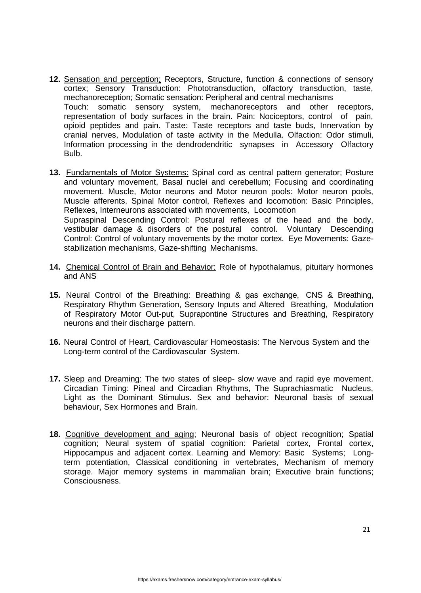- **12.** Sensation and perception: Receptors, Structure, function & connections of sensory cortex; Sensory Transduction: Phototransduction, olfactory transduction, taste, mechanoreception; Somatic sensation: Peripheral and central mechanisms Touch: somatic sensory system, mechanoreceptors and other receptors, representation of body surfaces in the brain. Pain: Nociceptors, control of pain, opioid peptides and pain. Taste: Taste receptors and taste buds, Innervation by cranial nerves, Modulation of taste activity in the Medulla. Olfaction: Odor stimuli, Information processing in the dendrodendritic synapses in Accessory Olfactory Bulb.
- **13.** Fundamentals of Motor Systems: Spinal cord as central pattern generator; Posture and voluntary movement, Basal nuclei and cerebellum; Focusing and coordinating movement. Muscle, Motor neurons and Motor neuron pools: Motor neuron pools, Muscle afferents. Spinal Motor control, Reflexes and locomotion: Basic Principles, Reflexes, Interneurons associated with movements, Locomotion Supraspinal Descending Control: Postural reflexes of the head and the body, vestibular damage & disorders of the postural control. Voluntary Descending Control: Control of voluntary movements by the motor cortex. Eye Movements: Gazestabilization mechanisms, Gaze-shifting Mechanisms.
- **14.** Chemical Control of Brain and Behavior: Role of hypothalamus, pituitary hormones and ANS
- **15.** Neural Control of the Breathing: Breathing & gas exchange, CNS & Breathing, Respiratory Rhythm Generation, Sensory Inputs and Altered Breathing, Modulation of Respiratory Motor Out-put, Suprapontine Structures and Breathing, Respiratory neurons and their discharge pattern.
- **16.** Neural Control of Heart, Cardiovascular Homeostasis: The Nervous System and the Long-term control of the Cardiovascular System.
- **17.** Sleep and Dreaming: The two states of sleep- slow wave and rapid eye movement. Circadian Timing: Pineal and Circadian Rhythms, The Suprachiasmatic Nucleus, Light as the Dominant Stimulus. Sex and behavior: Neuronal basis of sexual behaviour, Sex Hormones and Brain.
- **18.** Cognitive development and aging; Neuronal basis of object recognition; Spatial cognition; Neural system of spatial cognition: Parietal cortex, Frontal cortex, Hippocampus and adjacent cortex. Learning and Memory: Basic Systems; Longterm potentiation, Classical conditioning in vertebrates, Mechanism of memory storage. Major memory systems in mammalian brain; Executive brain functions; Consciousness.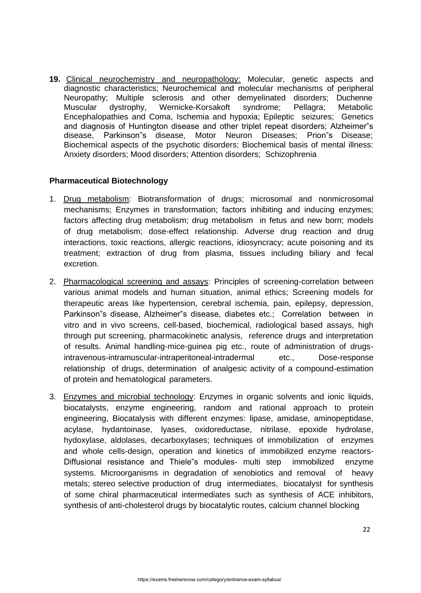**19.** Clinical neurochemistry and neuropathology: Molecular, genetic aspects and diagnostic characteristics; Neurochemical and molecular mechanisms of peripheral Neuropathy; Multiple sclerosis and other demyelinated disorders; Duchenne Muscular dystrophy, Wernicke-Korsakoft syndrome; Pellagra; Metabolic Encephalopathies and Coma, Ischemia and hypoxia; Epileptic seizures; Genetics and diagnosis of Huntington disease and other triplet repeat disorders; Alzheimer"s disease, Parkinson"s disease, Motor Neuron Diseases; Prion"s Disease; Biochemical aspects of the psychotic disorders; Biochemical basis of mental illness: Anxiety disorders; Mood disorders; Attention disorders; Schizophrenia

### **Pharmaceutical Biotechnology**

- 1. Drug metabolism: Biotransformation of drugs; microsomal and nonmicrosomal mechanisms; Enzymes in transformation; factors inhibiting and inducing enzymes; factors affecting drug metabolism; drug metabolism in fetus and new born; models of drug metabolism; dose-effect relationship. Adverse drug reaction and drug interactions, toxic reactions, allergic reactions, idiosyncracy; acute poisoning and its treatment; extraction of drug from plasma, tissues including biliary and fecal excretion.
- 2. Pharmacological screening and assays: Principles of screening-correlation between various animal models and human situation, animal ethics; Screening models for therapeutic areas like hypertension, cerebral ischemia, pain, epilepsy, depression, Parkinson"s disease, Alzheimer"s disease, diabetes etc.; Correlation between in vitro and in vivo screens, cell-based, biochemical, radiological based assays, high through put screening, pharmacokinetic analysis, reference drugs and interpretation of results. Animal handling-mice-guinea pig etc., route of administration of drugsintravenous-intramuscular-intraperitoneal-intradermal etc., Dose-response relationship of drugs, determination of analgesic activity of a compound-estimation of protein and hematological parameters.
- 3. Enzymes and microbial technology: Enzymes in organic solvents and ionic liquids, biocatalysts, enzyme engineering, random and rational approach to protein engineering, Biocatalysis with different enzymes: lipase, amidase, aminopeptidase, acylase, hydantoinase, lyases, oxidoreductase, nitrilase, epoxide hydrolase, hydoxylase, aldolases, decarboxylases; techniques of immobilization of enzymes and whole cells-design, operation and kinetics of immobilized enzyme reactors-Diffusional resistance and Thiele"s modules- multi step immobilized enzyme systems. Microorganisms in degradation of xenobiotics and removal of heavy metals; stereo selective production of drug intermediates, biocatalyst for synthesis of some chiral pharmaceutical intermediates such as synthesis of ACE inhibitors, synthesis of anti-cholesterol drugs by biocatalytic routes, calcium channel blocking